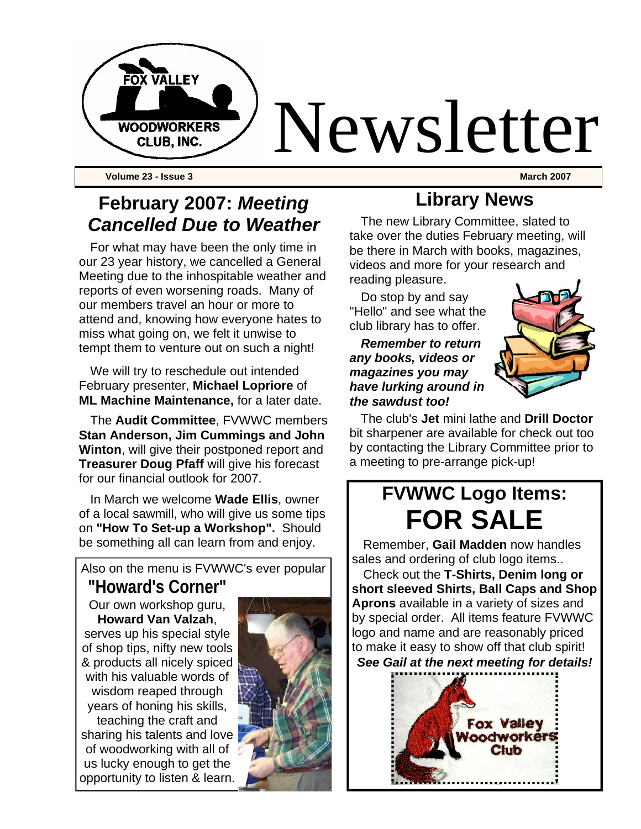

**Volume 23 - Issue 3 March 2007** 

## **February 2007:** *Meeting Cancelled Due to Weather*

For what may have been the only time in our 23 year history, we cancelled a General Meeting due to the inhospitable weather and reports of even worsening roads. Many of our members travel an hour or more to attend and, knowing how everyone hates to miss what going on, we felt it unwise to tempt them to venture out on such a night!

We will try to reschedule out intended February presenter, **Michael Lopriore** of **ML Machine Maintenance,** for a later date.

The **Audit Committee**, FVWWC members **Stan Anderson, Jim Cummings and John Winton**, will give their postponed report and **Treasurer Doug Pfaff** will give his forecast for our financial outlook for 2007.

In March we welcome **Wade Ellis**, owner of a local sawmill, who will give us some tips on **"How To Set-up a Workshop".** Should be something all can learn from and enjoy.

Also on the menu is FVWWC's ever popular

**"Howard's Corner"**  Our own workshop guru, **Howard Van Valzah**, serves up his special style of shop tips, nifty new tools & products all nicely spiced with his valuable words of wisdom reaped through years of honing his skills, teaching the craft and sharing his talents and love of woodworking with all of us lucky enough to get the opportunity to listen & learn.



## **Library News**

The new Library Committee, slated to take over the duties February meeting, will be there in March with books, magazines, videos and more for your research and reading pleasure.

Do stop by and say "Hello" and see what the club library has to offer.

#### *Remember to return any books, videos or magazines you may have lurking around in the sawdust too!*



The club's **Jet** mini lathe and **Drill Doctor**  bit sharpener are available for check out too by contacting the Library Committee prior to a meeting to pre-arrange pick-up!

# **FVWWC Logo Items: FOR SALE**

Remember, **Gail Madden** now handles sales and ordering of club logo items..

Check out the **T-Shirts, Denim long or short sleeved Shirts, Ball Caps and Shop Aprons** available in a variety of sizes and by special order. All items feature FVWWC logo and name and are reasonably priced to make it easy to show off that club spirit! *See Gail at the next meeting for details!* 

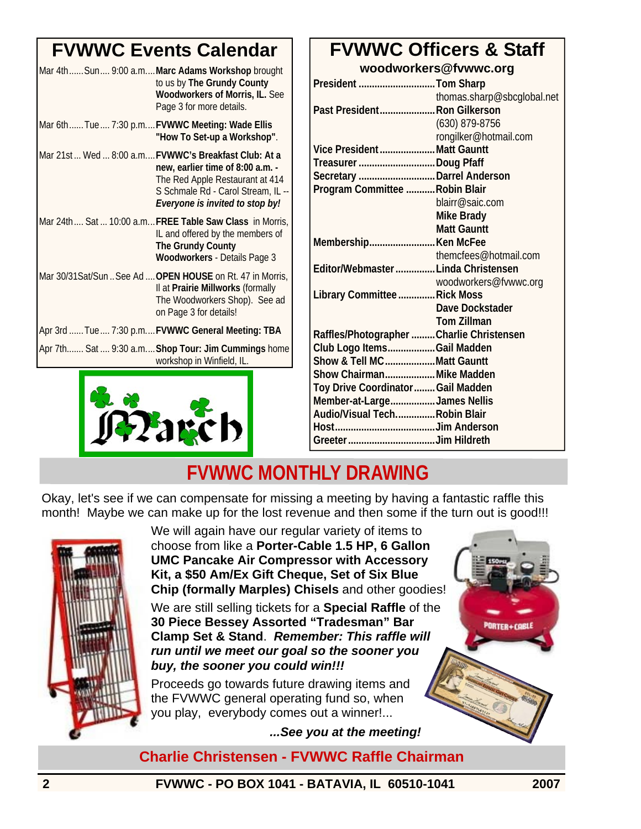# **FVWWC Events Calendar**

| Mar 4th Sun 9:00 a.m Marc Adams Workshop brought<br>to us by The Grundy County<br><b>Woodworkers of Morris, IL. See</b><br>Page 3 for more details.                                                 |
|-----------------------------------------------------------------------------------------------------------------------------------------------------------------------------------------------------|
| Mar 6thTue 7:30 p.mFVWWC Meeting: Wade Ellis<br>"How To Set-up a Workshop".                                                                                                                         |
| Mar 21st Wed  8:00 a.m FVWWC's Breakfast Club: At a<br>new, earlier time of 8:00 a.m. -<br>The Red Apple Restaurant at 414<br>S Schmale Rd - Carol Stream, IL --<br>Everyone is invited to stop by! |
| Mar 24th Sat  10:00 a.m FREE Table Saw Class in Morris,<br>IL and offered by the members of<br>The Grundy County<br>Woodworkers - Details Page 3                                                    |
| Mar 30/31 Sat/Sun  See Ad  OPEN HOUSE on Rt. 47 in Morris,<br>Il at Prairie Millworks (formally<br>The Woodworkers Shop). See ad<br>on Page 3 for details!                                          |
| Apr 3rd  Tue  7:30 p.m FVWWC General Meeting: TBA                                                                                                                                                   |
| Apr 7th Sat  9:30 a.m Shop Tour: Jim Cummings home<br>workshop in Winfield, IL.                                                                                                                     |



### **FVWWC Officers & Staff woodworkers@fvwwc.org**

| President Tom Sharp                      |                            |
|------------------------------------------|----------------------------|
|                                          | thomas.sharp@sbcglobal.net |
| Past President Ron Gilkerson             |                            |
|                                          | $(630)$ 879-8756           |
|                                          | rongilker@hotmail.com      |
| Vice President Matt Gauntt               |                            |
| Treasurer Doug Pfaff                     |                            |
| Secretary  Darrel Anderson               |                            |
| Program Committee Robin Blair            |                            |
|                                          | blairr@saic.com            |
|                                          | Mike Brady                 |
|                                          | <b>Matt Gauntt</b>         |
|                                          |                            |
|                                          | themcfees@hotmail.com      |
| Editor/Webmaster  Linda Christensen      |                            |
|                                          | woodworkers@fvwwc.org      |
| Library Committee  Rick Moss             |                            |
|                                          | Dave Dockstader            |
|                                          | <b>Tom Zillman</b>         |
| Raffles/Photographer Charlie Christensen |                            |
| Club Logo ItemsGail Madden               |                            |
| Show & Tell MCMatt Gauntt                |                            |
| Show Chairman Mike Madden                |                            |
| Toy Drive Coordinator  Gail Madden       |                            |
| Member-at-LargeJames Nellis              |                            |
| Audio/Visual TechRobin Blair             |                            |
|                                          |                            |
|                                          |                            |

# **FVWWC MONTHLY DRAWING**

Okay, let's see if we can compensate for missing a meeting by having a fantastic raffle this month! Maybe we can make up for the lost revenue and then some if the turn out is good!!!



We will again have our regular variety of items to choose from like a **Porter-Cable 1.5 HP, 6 Gallon UMC Pancake Air Compressor with Accessory Kit, a \$50 Am/Ex Gift Cheque, Set of Six Blue Chip (formally Marples) Chisels** and other goodies!

We are still selling tickets for a **Special Raffle** of the **30 Piece Bessey Assorted "Tradesman" Bar Clamp Set & Stand**. *Remember: This raffle will run until we meet our goal so the sooner you buy, the sooner you could win!!!* 

Proceeds go towards future drawing items and the FVWWC general operating fund so, when you play, everybody comes out a winner!...

*...See you at the meeting!* 

### **Charlie Christensen - FVWWC Raffle Chairman**

**2 FVWWC - PO BOX 1041 - BATAVIA, IL 60510-1041 2007** 

**PORTER+CABLE**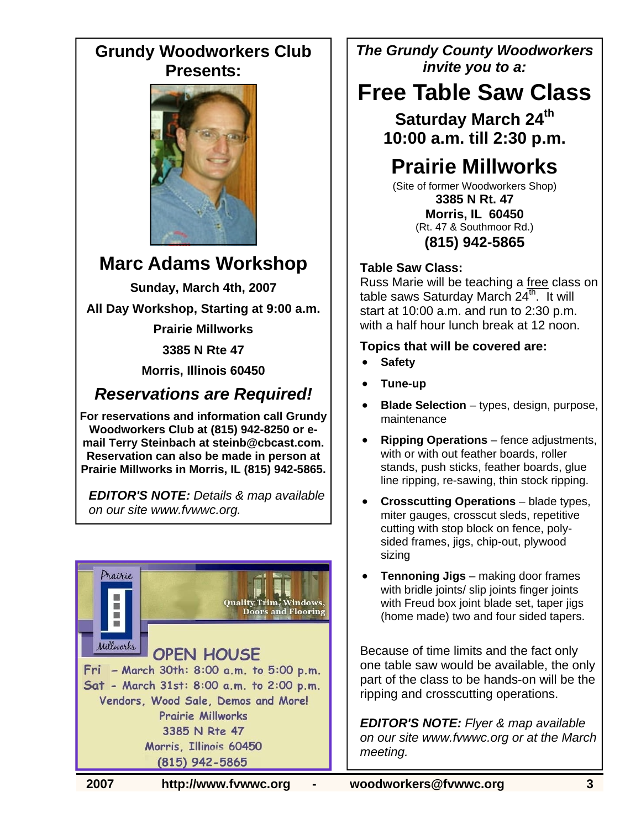### **Grundy Woodworkers Club Presents:**



# **Marc Adams Workshop**

**Sunday, March 4th, 2007** 

**All Day Workshop, Starting at 9:00 a.m.** 

**Prairie Millworks** 

**3385 N Rte 47** 

**Morris, Illinois 60450**

### *Reservations are Required!*

**For reservations and information call Grundy Woodworkers Club at (815) 942-8250 or email Terry Steinbach at steinb@cbcast.com. Reservation can also be made in person at Prairie Millworks in Morris, IL (815) 942-5865.** 

*EDITOR'S NOTE: Details & map available on our site www.fvwwc.org.* 



*The Grundy County Woodworkers invite you to a:* 

# **Free Table Saw Class**

**Saturday March 24th 10:00 a.m. till 2:30 p.m.** 

# **Prairie Millworks**

(Site of former Woodworkers Shop) **3385 N Rt. 47 Morris, IL 60450**  (Rt. 47 & Southmoor Rd.) **(815) 942-5865** 

#### **Table Saw Class:**

Russ Marie will be teaching a free class on table saws Saturday March  $24^{\overline{th}}$ . It will start at 10:00 a.m. and run to 2:30 p.m. with a half hour lunch break at 12 noon.

#### **Topics that will be covered are:**

- **Safety**
- **Tune-up**
- **Blade Selection** types, design, purpose, maintenance
- **Ripping Operations** fence adjustments, with or with out feather boards, roller stands, push sticks, feather boards, glue line ripping, re-sawing, thin stock ripping.
- **Crosscutting Operations** blade types, miter gauges, crosscut sleds, repetitive cutting with stop block on fence, polysided frames, jigs, chip-out, plywood sizing
- **Tennoning Jigs** making door frames with bridle joints/ slip joints finger joints with Freud box joint blade set, taper jigs (home made) two and four sided tapers.

Because of time limits and the fact only one table saw would be available, the only part of the class to be hands-on will be the ripping and crosscutting operations.

*EDITOR'S NOTE: Flyer & map available on our site www.fvwwc.org or at the March meeting.*